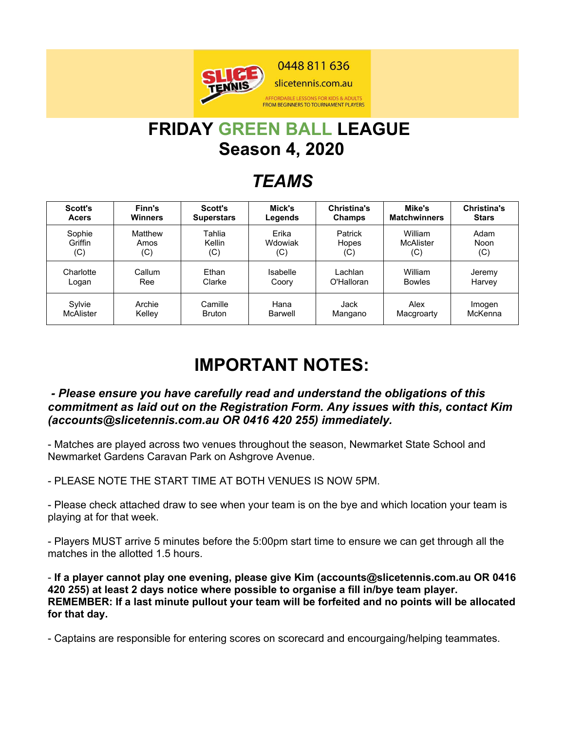

# **FRIDAY GREEN BALL LEAGUE Season 4, 2020**

## *TEAMS*

| <b>Scott's</b> | Finn's         | Scott's           | Mick's   | <b>Christina's</b> | Mike's              | <b>Christina's</b> |
|----------------|----------------|-------------------|----------|--------------------|---------------------|--------------------|
| <b>Acers</b>   | <b>Winners</b> | <b>Superstars</b> | Legends  | Champs             | <b>Matchwinners</b> | <b>Stars</b>       |
| Sophie         | Matthew        | Tahlia            | Erika    | Patrick            | William             | Adam               |
| Griffin        | Amos           | Kellin            | Wdowiak  | Hopes              | <b>McAlister</b>    | Noon               |
| (C)            | (C)            | (C)               | (C)      | (C)                | (C)                 | (C)                |
| Charlotte      | Callum         | Ethan             | Isabelle | Lachlan            | William             | Jeremy             |
| Logan          | Ree            | Clarke            | Coory    | O'Halloran         | <b>Bowles</b>       | Harvey             |
| Sylvie         | Archie         | Camille           | Hana     | Jack               | Alex                | Imogen             |
| McAlister      | Kelley         | <b>Bruton</b>     | Barwell  | Mangano            | Macgroarty          | McKenna            |

## **IMPORTANT NOTES:**

#### *- Please ensure you have carefully read and understand the obligations of this commitment as laid out on the Registration Form. Any issues with this, contact Kim (accounts@slicetennis.com.au OR 0416 420 255) immediately.*

- Matches are played across two venues throughout the season, Newmarket State School and Newmarket Gardens Caravan Park on Ashgrove Avenue.

- PLEASE NOTE THE START TIME AT BOTH VENUES IS NOW 5PM.

- Please check attached draw to see when your team is on the bye and which location your team is playing at for that week.

- Players MUST arrive 5 minutes before the 5:00pm start time to ensure we can get through all the matches in the allotted 1.5 hours.

- **If a player cannot play one evening, please give Kim (accounts@slicetennis.com.au OR 0416 420 255) at least 2 days notice where possible to organise a fill in/bye team player. REMEMBER: If a last minute pullout your team will be forfeited and no points will be allocated for that day.**

- Captains are responsible for entering scores on scorecard and encourgaing/helping teammates.